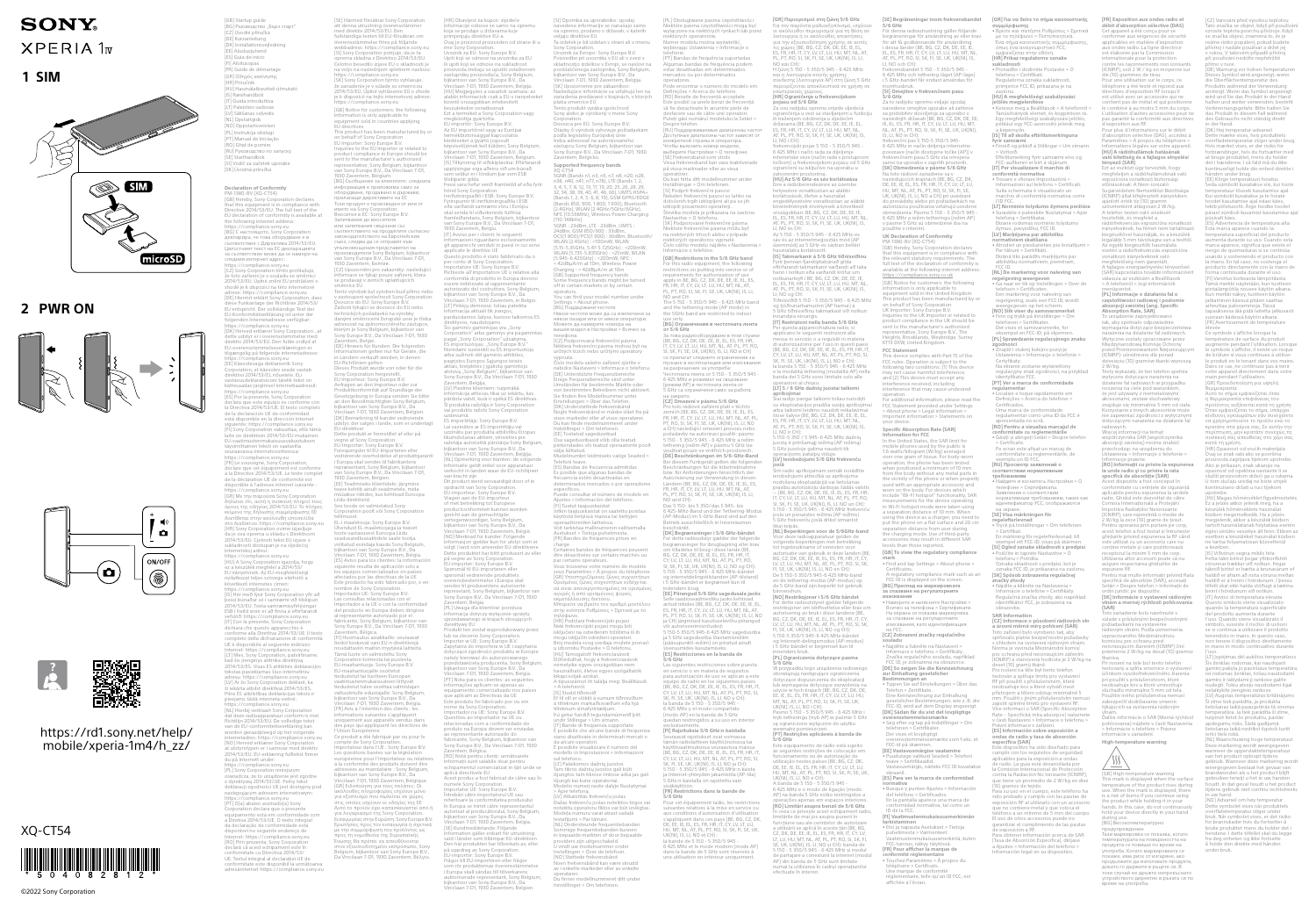## **SONY XPERIA 1v**

**1 SIM**



**2 PWR ON**







## [https://rd1.sony.net/help/](https://rd1.sony.net/help/mobile/xperia-1m4/h_zz/) [mobile/xperia-1m4/h\\_zz/](https://rd1.sony.net/help/mobile/xperia-1m4/h_zz/)

XQ-CT54



[ES] Guia de inicio<br>[FR] Guide de démarrage<br>[FR] Guide de démarrage<br>[HR] Οδηγός εκκίνησης<br>[HU] Használatbavételi útmutató<br>[IS] Ræsihandbók<br>[IT] Guida introduttiva<br>[IT] Paleisties vadovas [LV] Sākšanas ceļvedis [NL] Opstartgids (O) Oppstartsveivise [PL] Instrukcja obsługi [PT] Manual de Iniciação RO] Ghid de pornire [RU] Руководство по запуску [SE] Starthandbok .<br>[SI] Vodič za začetek uporabe [SK] Úvodná príručka **Declaration of Conformity<br>PM-1380-BV (XQ-CT54)<br>[GB] Hereby, Sony Corporation declares<br>that this equipment is in compliance with<br>Directive 2014/53/EU. The full text of the** EU declaration of conformity is available at the following internet address: <https://compliance.sony.eu> [BG] С настоящото, Sony Corporation декларира, че това оборудване е в съответствие с Директива 2014/53/EU. Цялостният текст на ЕС декларацията за съответствие може да се намери на следния интернет адрес: <https://compliance.sony.eu> [CZ] Sony Corporation tímto prohlašuje, že toto zařízení je v souladu se směrnicí 2014/53/EU. Úplné znění EU prohlášení o shodě je k dispozici na této internetové adrese: <https://compliance.sony.eu><br>(DE] Hiermit erklärt Sony Corporation, dass<br>diese Funkanlage der Richtlinie 2014/53/<br>EU entspricht. Der vollständige Text der<br>EU-Konformitätserklärung ist unter der<br>folgenden Internetadre <https://compliance.sony.eu> [DK] Herved erklærer Sony Corporation , at dette udstyr er i overensstemmelse med direktiv 2014/53/EU. Den fülde ordlyd af<br>EU-overensstemmelseserklæringen er<br>tilspangelig på følgende internetardesse:<br>https://compilance.sony.eu<br>fitspangelig af bølgende internetardesse:<br>fitspangelig af bordle af bordle af declara que este equipo es conforme con la Directiva 2014/53/UE. El texto completo de la declaracion UE de conformidad<br>está disponible en la dirección Internet<br>siguiente:<https://compliance.sony.eu><br>fi-li Sony Corporation vakuuttaa, että tämä<br>laite on direktiivin 2014/53/EU mukainen.<br>EU-vaatimustenmukaisu <https://compliance.sony.eu> [FR] Le soussigné, Sony Corporation, déclare que cet équipement est conforme à la Directive 2014/53/UE. Le texte complet de la déclaration UE de conformité est disponible à l'adresse internet suivante : <https://compliance.sony.eu> [GR] Με την παρούσα Sony Corporation<br>(δηλώνει ότι, αυτή η αυσκευή πληρεί τους<br>δηλώνει δτι, αυτή η αυσκευή πληρεί τους<br>εξίμεσε της, δηλωσής συμμέρησωσης ΕΕ<br>κατό καθέκτυο:<https://compliance.sony.eu><br>πο διαδέκτυο: https://c kövekező internetes címen:<br>Kinster (a magnetic scory)<br>Its Jean (a pessi Soma Congro antion y fir a do pessi bornador sé i samnaemi við tilskipun<br>2014/53/EU. Texta samnaemisyfirlýsingar<br>159 í heild sinni er að finna á eftir

[GB] Startup guide [BG] Ръководство "Бърз старт" [CZ] Úvodní příručka [DE] Kurzanleitung [DK] Installationsvejledning EE] Alustusjuhend<br>EE] Alustusjuhend<br>ES] Guía de inicio

2014/53/ES. Visas ES atitikties deklaracijos tekstas pasiekiamas šiuo internetiniu adresu: <https://compliance.sony.eu> [LV] Ar šo Sony Corporation deklarē, ka šī iekārta atbilst direktīvai 2014/53/ES. Plins ES atbilistibas deklarācijas teksts ir<br>pieejams šādā interneta vietnē:<br><https://compliance.sony.eu><br>https://compliance.sony.eu<br>dat deze radioapparatuur conform is met<br>dat deze radioapparatuur conform is met<br>Richtlijn 2 [NO] Herved erklærer Sony Corporation at utstyrstypen er i samsvar med direktiv 2014/53/EU. EU-erklæring fulltekst finner du på Internett under: //compliance.sony.eu PL] Sony Corporation niniejs oświadcza, że to urządzenie jest zgodne z dyrektywą 2014/53/UE. Pełny tekst deklaracji zgodności UE jest dostępny pod następującym adresem internetowym: <https://compliance.sony.eu> [PT] O(a) abaixo assinado(a) Sony Corporation declara que o presente equipamento está em conformidade com va 2014/53/UE. O texto integral da declaração de conformidade está disponível no seguinte endereço de Internet: <https://compliance.sony.eu> [RO] Prin prezenta, Sony Corporation declară că acest echipament este în conformitate cu Directiva 2014/53/ UE. Textul integral al declarației UE de conformitate este disponibil la următoarea

adresă internet:<https://compliance.sony.eu> [SE] Härmed försäkrar Sony Corporation att denna utrustning överensstämmer med direktiv 2014/53/EU. Den fullständiga texten till EU-försäkran om överensstämmelse finns på följande webbadress:<https://compliance.sony.eu> [SI] Sony Corporation potrjuje, da je ta oprema skladna z Direktivo 2014/53/EU. Celotno besedilo izjave EU o skladnosti je na voljo na naslednjem spletnem naslovu: <https://compliance.sony.eu> [SK] Sony Corporation týmto vyhlasuje, že zariadenie je v súlade so smernicou 2014/53/EÚ. Úplné vyhlásenie EÚ o zhode je k dispozícii na tejto internetovej adrese: <https://compliance.sony.eu> [GB] Notice for customers: the following information is only applicable to equipment sold in countries applying<br>EU directives<br>This product has been manufactured by or<br>on behalf of Sony Corporation<br>on behalf of Sony Corporation<br>Inquires to the FU importer or related to<br>product compliance in Europe [BG] Съобщение за клиентите: следната информация е приложима само за оборудване, продавано в държави, прилагащи директивите на ЕС<br>Този продукт е произведен от или от<br>името на Sony Corporation.<br>Вносител в ЕС: Sony Europe B.V.<br>Запитвания до вносителя<br>или запитвания свързани със съответствието на продуктите съгласно законодателството на Европейския съюз, следва да се отправят към ynhanououeums Inpactamente in Bilantori<br>Proposteoperens Sony Belgium, bijkantoor<br>Van Sony Lurope B.V., Da Vincilian 7-D1,<br>1930 Zaventem, German.<br>1930 Zaventem, German.<br>1930 Zaventem, German.<br>2012 Zaventem, German.<br>2012 Zav Dieses Produkt wurde von oder für die Sony Corporation hergestellt. EU Importeur: Sony Europe B.V. Anfragen an den Importeur oder zur<br>Anfragen an den Importeur oder zur<br>Geottzgebung in Europa senden Sie bitte<br>an den Bevollmächtigten Sony Belgium,<br>Siljantoor van Sony Europe B.V., Da<br>Ulijantoor van Sony Europe B.V., Da<br>Ul repræsentant, Sony Belgium, bijkantoor van Sony Europe B.V., Da Vincilaan 7-D1, 1930 Zaventem, Belgien. [EE] Teadmiseks klientidele: järgmine teave kehtib ainult seadmetele, mida müüakse riikides, kus kehtivad Euroopa Liidu direktiivid. See toode on valmistatud Sony Corporation poolt või Sony Corporation tellimusel. EL-i maaletooja: Sony Europe B.V. Ühendust EL maaletoojaga ja teavet toote vastavusest Euroopa Liidu seadusandluseaktidele saate tootja<br>Seadusandluseaktidele saate tootja<br>Vylindiaan -7.01 1939 Zuverbeen, keelusa.<br>ISS | Aviso para los clientes: la información<br>Issuente resulta de aplicación solo a<br>Seaduste resulta de aplica Importador al a UE o con la conformidad<br>ele producto en Europa deben dirigirse<br>al representante autorizado por el<br>fabricante, Sony Belgium, bijkantor van<br>Sony Europe B.V., Da Vincilaan 7-D1, 1930<br>Zaventem, Bélgica.<br>(FIJ Hu Corporation toimesta tai puolesta.<br>EU-maahantuoja: Sony Europe B.V.<br>EU-maahantuoja! Sony Europe B.V.<br>tiedustelut tai tuotteen Euroopan<br>vaatimusteemukaisuuteen liittyvät<br>vaatimusteemukaisuuteen liittyvät<br>valtuuteele edustaj des pays qui appliquent les directives de l'Union Européenne Ce produit a été fabriqué par ou pour le compte de Sony Corporation. Importateur dans l'UE : Sony Europe B.V. Les questions basées sur la législation<br>européenne pour l'importateur ou relatives<br>autopéenne pour l'importateur ou relatives<br>adiessées au mandataire : Sony Belgium,<br>plyfanton ? on Symptonpeis R. Dol que<br>(CRI) Elisophono

телефона. charge sul telefono. |HR| Obavijest za kupce: sijedece<br>informacije odnose se samo na opremu<br>koja se prodaje u državama koje<br>primjenjuju direktive EU-a<br>Ovaj je proizvod proizveden od strane ili u<br>ime Sony Corporation.<br>Uvoznik za EU: Sony Europe Upiti koji se odnose na uvoznika za EU ili upiti koji se odnose na sukladnost provinsku proizvođača. Sony Belgium zastupniku proizvođača, Sony Belgium,<br>bijkantoor van Sony Europe B.V., Da<br>Vincilaan 7-D1, 1930 Zaventem, Belgija.<br>[HU] Megjegyzes a vasarlok szamara: az<br>alabbi informaciok csak a EU-s iranyelveket kovető orszagokban ertekesitett keszulekekre vonatkoznak Ezt a terméket a Sony Corporation vagy megbízottja gyártotta. EU importőr: Sony Europe B.V. Az EU importőrrel vagy az Európai termékbiztonsággal kapcsolatos lemissen.<br>kérdéseket a gyártó jogosult<br>kényiselőiének kell küldeni, Sony Belgium kepviselöjenek kell küldeni, Sony Belgium,<br>bijkantoor van Sony Europe B.V., Da<br>Vincilaan 7-D1, 1930 Zaventem, Belgium.<br>[IS] Tilkynning til viðskiptavina: Eftirfarandi<br>upplýsingar eiga aðeins við um búnað<br>sem seldur er í lö tilskipanir gilda<br>Kiskipanir gilda<br>Pessi vara hefur verið framleidd af eða fyrir<br>Innflutningsaðili í ESB: Sony Europe B.V.<br>Fyrírspurnir til innflutningsaðila í ESB<br>eða varðandi samræmi vöru í Evrópu<br>skal senda til viðurken [IT] Avviso per i clienti: le seguenti informazioni riguardano esclusivamente gli apparecchi venduti in paesi in cui sono applicate le direttive UE Questo prodotto è stato fabbricato da o per conto al Sony Conportator<br>
importatore UE: Sony Europe B.V.<br>
incontrolical di produtto in Europa devono<br>
conformità di produtto in Europa devono<br>
conformità di produtto in Europa devono<br>
sasere zanki Gale di appere San direktyvos, naudotojams.<br>Šio gaminio gamintojas yra "Sony<br>Corporation" arba gaminys yra pagamintas<br>pagal "Sony Corporation" užsakymą.<br>ES importuotojas: "Sony Europe B.V."<br>Norėdami susisiekti su ES importuotoju<br>arba sužinot aktais, kreipkitės į įgaliotą gamintojo atstovą "Sony Belgium", bijkantoor van<br>Sony Europe B.V., Da Vincilaan 7-D1, 1930<br>Zaventem, Belgija.<br>[LV] Piezīme klientiem: turpmākā informācija attiecas tikai uz iekārtu, kas pārdota valstī, kurā ir spēkā ES direktīvas. Šī produkta ražotājs ir Sony Corporation vai produkts ražots Sony Corporation uzdevumā. ES importētājs: Sony Europe B.V. Lai sazinātos ar ES importētāju vai<br>tuzzinātu par produkta atbilstību Eiropas<br>likumdošanas aktiem, vērsieties pie<br>ražotāja autorizētā pārstāvja Sony Belgium,<br>bijkantoor van Sony Europe B.V., Da<br>Vincilaan 7-D1, 1930 Zavente van kracht zijn Dit product werd vervaardigd door of in opdracht van Sony Corporation. EU-importeur: Sony Europe B.V. Vragen aan de EU-importeur of met betrekking tot Europese<br>preduct commiteit kunnen worden<br>gericht aan de gemachtigde<br>vertegenwoordiger, Sony Belgium,<br>bijkantoor van Sony Europe B.V., Da<br>Vincilaan 7-D1, 1930 Zaventem, België.<br>[NO] Merknad for kunder: Dette produktet har blitt produsert av eller på vegne av Sony Corporation. EU-importør: Sony Europe B.V. Spørsmål til EU-importøren eller spørsmål vedrørende produktets overensbestemmelse i Europa skal sendes til produsentens autoriserte represetant, Sony Belgium, bijkantoor van Sony Europe B.V., Da Vincilaan 7-D1, 1930 Zaventem, Belgia [PL] Uwaga dla klientów: poniższa informacja dotyczy wyłącznie sprzętu sprzedawanego w krajach stosujących dyrektywy EU Produkt ten został wyprodukowany przez lub na zlecenie Sony Corporation. Importer w UE: Sony Europe B.V. Zapytania do importera w UE i zapytania dotyczące zgodności produktu w Europie należy kierować do autoryzowanego przedstawiciela producenta, Sony Belgium, bijkantoor van Sony Europe B.V., Da Vincilaan 7-D1, 1930 Zaventem, Belgia. [PT] Nota para os clientes: as seguintes informações aplicam-se apenas ao equipamento comercializado nos países que aplicam as Directivas da UE Este produto foi fabricado por ou em nome da Sony Corporation. Importador na UE: Sony Europe B.V. Questões ao importador na UE ou relacionadas com a conformidade do produto na Europa devem ser enviadas ao representante autorizado do fabricante, Sony Belgium, bijkantoor van<br>Sony Europe B.V., Da Vincilaan 7-D1, 1930<br>Zaventem, Bélgica.<br>(RO) Notă pentru clienți: următoarele<br>enformații sunt valabile doar pentru<br>echipamentul comercializat in țări unde se<br>ap apiica uirectivele EO<br>Acest produs a fost fabricat de către sau în numele Sony Corporation. Importator UE: Sony Europe B.V. Întrebări către importatorul UE sau referitoare la conformitatea produsului în Europa se trimit către reprezentantul<br>autorizat al producătorului, Sony Belgium,<br>bijkantoor van Sony Europe B.V., Da<br>Vincilaan 7-D1, 1930 Zaventem, Belgia.<br>(SE] Kundmeddelande: Följande<br>information gäller enbart för utu Den här produkten har tillverkats av, eller på uppdrag av Sony Corporation. EU-importör: Sony Europe B.V. Frågor till EU-importören eller frågor som rör produkternas överensstämmelse<br>i Europa skall sändas till tillverkarens<br>auktoriserade representant, Sony Belgium,<br>bijkantoor van Sony Europe B.V., Da<br>Vincilaan 7-D1, 1930 Zaventem, Belgien

use only. **[BG] Огран**<br>от 5/6 GHz **5/6 GHz** [SI] Opomba za uporabnike: spodaj navedene informacije se nanašajo samo na opremo, prodano v državah, v katerih veljajo direktive EU. Ta izdelek je bil izdelan s strani ali v imenu Inik za Evropo: Sony Europe B.V. Uvoznik za krvopo: Sony kurope B.V.<br>Poizvedbe pri uvozniku v EU ali v zvezi s<br>skladnostjo izdelkov v Evropi, se naslovi na pooblaščenega zastopnika, Sony Belgijum,<br>bijkantor van Sony Europe B.V., Da<br>Vincilaan 7-D1, 1930 Za Tento produkt vyrába spoločnosť Sony alebo je vyrobený v mene Sony Joration.<br>ozca pre EÚ: Sony Europe B.V. Dovozca pre EÚ: Sony Europe B.V. Otázky či výrobok vyhovuje požiadavkám podľa legislatívy Európskej únie treba adresovať na autorizovaného zástupcu Sony Belgium, bijkantoor van sstaped Sony Bergium, Bijkantoor van<br>onv Europe B.V., Da Vincilaan 7-D1, 1930 Zaventem, Belgicko. **Supported frequency bands** X-CT54<br>XR (Bands n1, n3, n5, n7, n8, n20, n28, 5GNR (Bands n1, n3, n5, n7, n8, n20, n28,<br>n38, n40, n41, n77, n78), LTE (Bands 1, 2,<br>3, 4, 5, 7, 8, 12, 13, 17, 19, 20, 25, 26, 28, 29,<br>32, 34, 38, 39, 40, 41, 46, 66), UMTS HSPA+<br>(Bands 1, 2, 4, 5, 6, 8, 19), GSM GPRS/EDG (Bands 850, 900, 1 800, 1 900), Bluetooth<br>(2.4GHz), WLAN (2.4GHz/5GHz/6GHz),<br>NFC (13.56MHz), Wireless Power Charging<br>(110-148kHz) SGMR : 248Bm, UE : 238Bm, UMIS<br>248Bm, GSM 850/900 : 334Bm,<br>WIAN (246He) / COUPCO : 308Bm, Bluetooth<br>WIAN (246He) : <br/>-10000W WIAN<br>WIAN (2575-5385GM2) : <br/>-25000W WIAN<br>(5945-6425GHz) : <br/>-25000W WIAN (2545-6425GHz) off in certain markets or by certain operators. You can find your model number under Settings > About phone. [BG] Поддържани честоти Іякои честоти може да са изклю някои пазари или от някои оператори. Можете да намерите номера на вашия модел в Настройки > Всичко за [CZ] Podporovaná frekvenční pásma Některá frekvenční pásma mohou být na určitých trzích nebo určitými operátory vypnutá. Číslo modelu vašeho zařízení zjistíte v nabídce Nastavení > Informace o telefonu. [DE] Unterstützte Frequenzbereiche Einige Frequenzbereiche sind unter Umständen für bestimmte Märkte oder<br>Suchständen für bestimmten Betreibern nicht aktiviert.<br>Sinstellungen > Über das Telefon.<br>Einstellungen > Über das Telefon.<br>DKI Understattede frekvensbånd<br>Nogle frekvensbånd er måske slåe L) roctutud sugedusmodd<br>sa sagedusribasid võib olla teatud piirkondades või teatud operaatorite poolt välja lülitatud. atuu.<br>Imbri leidmiseks valige Seaded > Telefoni teave. [ES] Bandas de frecuencia admitidas s posible que algunas bandas de frecuencia estén desactivadas en determinados mercados o por operadores<br>específicos.<br>Puede consultar el número de modelo en<br>Ajustes > Información del teléfono.<br>Fil Tuetut taajuuskaistat<br>Jotkin taajuuskaistat on saatettu poistaa<br>Jotkin taajuuskaistat on sa operaattoreiden laitteissa. Voit tarkistaa mallinumeron valitsemalla Asetukset > Tietoja puhelimesta. [FR] Bandes de fréquences prises en Certaines bandes de fréquences peuvent être désactivées sur certains marchés ou par certains opérateurs. Vous trouverez votre numéro de modèle sous Paramètres > À propos du téléphone. [GR] Υποστηριζόμενες ζώνες συχνοτήτων Ορισμένες ζώνες συχνοτήτων ενδέχεται να είναι απενεργοποιημένες σε ορισμένες αγορές ή από ορισμένους φορείς εκμετάλλευσης δικτύου. Μπορείτε να βρείτε τον αριθμό μοντέλου στην ενότητα Ρυθμίσεις > Σχετικά με το τηλέφωνο. [HR] Podržani frekvencijski pojasi Neki frekvencijski pojasi mogu biti isključeni na određenim tržištima ili ih mogu isključiti određeni operateri. Broj modela svog uređaja možete pronaći uj modela svog dredaja možete<br>izborniku Postavke > O telefonu [HU] Támogatott frekvenciasávok Előfordulhat, hogy a frekvenciasávok némelyike egyes országokban nem használható, illetve egyes szolgáltatók kikapcsolják azokat. A típusszámot itt találja meg: Beállítások > A telefonról. [IS] Studd tíðnisvið Ef til vill er slökkt á sumum tíðnisviðum á tilteknum markaðssvæðum eða hjá tilteknum símafyrirtækjum. Þú getur fundið tegundarnúmerið þitt undir Stillingar > Um símann. [IT] Bande di frequenza supportate È possibile che alcune bande di frequenza siano disattivate in determinati mercati o da alcuni operatori. È possibile visualizzare il numero del modello in Impostazioni > Informazioni [LT] Palaikomos dažnių juostos Tam tikros dažnių juostos gali būti išjungtos tam tikrose rinkose arba jas gali išjungti kai kurie operatoriai. Modelio numerį rasite dalyje Nustatymai > Apie telefoną. [LV] Atbalstītās frekvenču joslas Dažas frekvenču joslas noteiktos tirgos vai noteiktu operatoru tīklos var būt izslēgtas. Modeļa numuru varat atrast sadaļā Iestatījumi > Par tālruni. [NL] Ondersteunde frequentiebanden Sommige frequentiebanden kunnen in bepaalde markten of door bepaalde providers zijn uitgeschakeld. U vindt uw modelnummer onder Instellingen > Over de telefoon. [NO] Støttede frekvensbånd Noen frekvensbånd kan være skrudd av i enkelte markeder eller av enkelte operatører. Du finner modellnummeret ditt under Innstillinger > Om telefonen.

**joslā** [PL] Obsługiwane pasma częstotliwości Niektóre pasma częstotliwości mogą być wyłączone na niektórych rynkach lub przez niektórych operatorów. Numer modelu można wyświetlić, r modelu mozna wyswietlic,<br>rając Ustawienia > Informacje o telefonie. [PT] Bandas de frequência suportadas Algumas bandas de frequência podem estar desativadas em determinados mercados ou por determinados operadores. Pode encontrar o número do modelo em Definições > Acerca do telefone. [RO] Benzile de frecvenţă acceptate Este posibil ca unele benzi de frecvenţă să fie dezactivate în anumite pieţe de desfacere sau de către unii operatori. Puteţi găsi numărul modelului la Setări > Despre telefon. [RU] Поддерживаемые диапазоны частот Доступные диапазоны частот зависят от конкретной страны и оператора. Чтобы выяснить номер модели, выберите Настройки > О телефоне. [SE] Frekvensband som stöds Vissa frekvensband kan vara inaktiverade på vissa marknader eller av vissa operatörer. Du kan hitta ditt modellnummer under Inställningar > Om telefonen. [SI] Podprti frekvenčni pasovi Nekateri frekvenčni pasovi so lahko na določenih trgih izklopljeni ali pa so jih i izklopijem ali<br>nezni operaterii a modela je prikazana na zaslon Nastavitve > O telefonu. [SK] Podporované frekvenčné pásma Niektoré frekvenčné pásma môžu byť na niektorých trhoch alebo v prípade niektorých operátorov vypnuté. Číslo vášho modelu nájdete v Nastavenia > Informácie o telefóne. **[GB] Restrictions in the 5/6 GHz band** For this radio equipment, the following restrictions on putting into service or of requirements for authorization of use<br>apply in BE, BG, CZ, DK, DE, EE, IE, EL,<br>FR, HR, IT, CY, LV, LT, LU, HU, MT, NL, AT,<br>PL, PT, RO, SI, SK, FI, SE, UK, UK(NI), IS, LI, NO and CH: The 5 150 - 5 350/5 945 - 6 425 MHz band and the tethering mode (AP mode) in the 5GHz band are restricted to indoor **от 5/6 GHz**<br>За това радиооборудване в тези страни<br>(BE, BG, CZ, DK, DE, EE, IE, EL, ES, FR, HR,<br>IT, CY, LV, LT, LU, HU, MT, NL, AT, PL, PT, RO,<br>SI, SK, FI, SE, UK, UK(NI), IS, LI, NO и CH)<br>се прилагат следните ограничения пускане в експлоатация или изисквания за разрешение за употреба: Честотната лента от 5 150 - 5 350/5 945 - 6 425 MHz и режимът на свързване (режим AP) в честотната лента от 5 GHz са ограничени само за работа на закрито. **[CZ] Omezení v pásmu 5/6 GHz** Pro toto rádiové zařízení platí v těchto<br>zemích (BE, BG, CZ, DK, DE, EE, IE, EL, ES,<br>FR, HR, IT, CY, LV, LT, LU, HU, MT, NL, AT, PL,<br>PT, RO, SI, SK, FI, SE, UK, UK(NI), IS, LI, NO<br>a CH) následující omezení provozu nebo požadavky na autorizaci použití: pásmo 5 150 - 5 350/5 945 - 6 425 MHz a režim ng (režim AP) v pásmu 5 GHz lze využívat pouze ve vnitřních prostorech.<br>**[DE] Beschränkungen im 5/6-GHz-Band**<br>Bei diesem Funkgerät gelten die folgenden<br>Beschränkungen für die Inbetriebnahme bzw. für Anforderungen hinsichtlich der<br>Autorisierung zur Verwendung in diesen<br>Ländern (BE, BG, CZ, DK, DE, EE, IE, EL, ES,<br>FR, HR, IT, CY, LV, LT, LU, HU, MT, NL, AT,<br>PL, PT, RO, SI, SK, FI, SE, UK, UK(NI), IS, LI, NO und CH): Das 5 150- bis 5 350/das 5 945- bis 6 425-MHz-Band und der Tethering-Modus (AP-Modus) im 5-GHz-Band sind auf den Betrieb ausschließlich in Innenräumen beschränkt. **[DK] Begrænsninger i 5/6 GHz-båndet** For dette radioudstyr gælder der følgende adioddstyr gænder der hørgerid<br>inger for ibrugtagning eller kra om tilladelse til brug i disse lande (BE, BG, CZ, DK, DE, EE, IE, EL, ES, FR, HR, IT, CY, LV, LT, LU, HU, MT, NL, AT, PL, PT, RO,<br>SI, SK, FI, SE, UK, UK(NI), IS, LI, NO og CH):<br>5 150 - 5 350/5 945 - 6 425 MHz-båndet<br>og internetdelingstilstanden (AP-tilstand) i 5 GHz-båndet er begrænset kun til indendørs brug. **[EE] Piirangud 5/6 GHz sagedusala jaoks** Selle raadioseadmestiku jaoks kehtivad antud riikides (BE, BG, CZ, DK, DE, EE, IE, EL, ES, FR, HR, IT, CY, LV, LT, LU, HU, MT, NL, AT, PL, PT, RO, SI, SK, FI, SE, UK, UK(NI), IS, LI, NO ja CH) järgmised kasutuselevõtu piirangud või autoriseerimisnõuded: 5 150-5 350/5 945-6 425 MHz sagedusriba ja 5 GHz sagedusriba lõastamisrežiim (pääsupunkti-režiim) on piiratud ainult siseruumides kasutamiseks. **[ES] Restricciones en la banda de**  Las siguientes restricciones sobre puesta uientes restricciones sob<br>/icio o en materia de requ para autorización de uso se aplican a este equipo de radio en los siguientes países (BE, BG, CZ, DK, DE, EE, IE, EL, ES, FR, HR, IT, CY, LV, LT, LU, HU, MT, NL, AT, PL, PT, RO, SI, SK, FI, SE, UK, UK(NI), IS, LI, NO y CH): la banda de 5 150 - 5 350/5 945 - 6 425 MHz y el modo compartido (modo AP) en la banda de 5 GHz quedan restringidos a su uso en interior exclusivamente. **[FI] Rajoituksia 5/6 GHz:n kaistalla** Seuraavat rajoitukset ovat voimassa tämän radiolaitteen käyttöönotossa tai käyttövaatimuksissa seuraavissa maissa<br>(BE, BG, CZ, DK, DE, EE, IE, EE, ES, FR, HR, IT,<br>CY, LV, LT, LU, HU, MT, NL, AT, PL, PT, RO, SI,<br>SK, FI, SE, UK, UK(NI), IS, LI, NO ja CH):<br>5 150 - 5 350/5 945 - 6 425 MHz:n kaista<br>ja 5 GHz:n kaistalla on rajoitettu vain sisäkäyttöön. **[FR] Restrictions dans la bande de 5/6 GHz** Pour cet équipement radio, les restrictions suivantes relatives à la mise en service ou aux conditions d'autorisation d'utilisation<br>s'appliquent dans ces pays (BE, BG, CZ, DK,<br>DE, EE, IE, EL, ES, FR, HR, IT, CY, LV, LT, LU,<br>HU, MT, NL, AT, PL, PT, RO, SI, SK, FI, SE, UK, UK(NI), IS, LI, NO et CH) : la bande de 5 150 - 5 350/5 945 - 6 425 MHz et le mode modem (mode AP) dans la bande de 5 GHz sont réservés à une utilisation en intérieur uniquement.

operacijoms patalpų viduje. **5/6 GHz** efectuate în interior.

helyezésre vonatkozóan az alábbi UK(NI), IS, LI, NO e CH): A banda de 5 150 - 5 350/5 945 -

**[GR] Περιορισμοί στη ζώνη 5/6 GHz** Για τον παρόντα ραδιοεξοπλισμό, ισχύουν οι ακόλουθοι περιορισμοί για τη θέση σε λειτουργία ή οι ακόλουθες απαιτήσεις για την εξουσιοδότηση χρήσης σε αυτές τις χώρες (BE, BG, CZ, DK, DE, EE, IE, EL, ES, FR, HR, IT, CY, LV, LT, LU, HU, MT, NL, AT, PL, PT, RO, SI, SK, FI, SE, UK, UK(NI), IS, LI, NO και CH): Η ζώνη 5 150 - 5 350/5 945 - 6 425 MHz και η λειτουργία κοινής χρήσης σύνδεσης (λειτουργία AP) στη ζώνη 5 GHz ιορίζονται αποκλειστικά σε χρήση σ εσωτερικούς χώρους. **[HR] Ograničenje u frekvencijskom pojasu od 5/6 GHz** Za ovu radijsku opremu vrijede sljedeća ograničenja u vezi sa stavljanjem u funkciju ilijem odobrenja u sljedećim<br>ma (BE. BG. CZ. DK. DE. EE. IE. EL. državama (BE, BG, CZ, DK, DE, EE, IE, EL, ES, FR, HR, IT, CY, LV, LT, LU, HU, MT, NL, AT, PL, PT, RO, SI, SK, FI, SE, UK, UK(NI), IS, LI, NO i CH): frekvencijski pojas 5 150 - 5 350/5 945 - 6 425 MHz i način rada za dijeljenje internetske veze (način rada s pristupnom točkom) u frekvencijskom pojasu od 5 GHz ograničeni su isključivo na uporabu u zatvorenim prostorima. **[HU] Az 5/6 GHz-es sáv korlátozása** Erre a rádióberendezésre az üzembe korlátozások, illetve a használat<br>engedélyezésére vonatkozóan az alábbi<br>követelmények érvényesek a következő<br>országokban: BE, BG, CZ, DK, DE, EE, IE,<br>EL, ES, FR, HR, IT, CY, LV, LT, LU, HU, MT, NL,<br>AT, PL, PT, RO, SI, SK, LI, NO és CH: Az 5 150 - 5 350/5 945 - 6 425 MHz-es sáv és az internetmegosztás mód (AP üzemmód) az 5 GHz-es sávban beltéri sználatra korlátozott.<br>II Takmarkanir á 5/6 GHz tíðnisviðinu **[IS] Takmarkanir á 5/6 GHz tíðnisviðinu** Fyrir þennan fjarskiptabúnað gilda eftirfarandi takmarkanir varðandi að taka hann í notkun eða varðandi kröfur um noun eva varvanur krofur um<br>1eyfi í BE, BG, CZ, DK, DE. EE. IE. EL, ES, FR, HR, IT, CY, LV, LT, LU, HU, MT, NL, AT, PL, PT, RO, SI, SK, FI, SE, UK, UK(NI), IS, LI, NO og CH: Tíðnisviðið 5 150 - 5 350/5 945 - 6 425 MHz og tjóðrunarhamurinn (AP hamur) á 5 GHz tíðnisviðinu takmarkast við notkun innandyra einungis. **[IT] Restrizioni nella banda 5/6 GHz** Per questa apparecchiatura radio, si applicano le seguenti restrizioni alla messa in servizio o a requisiti in materia di autorizzazione per l'uso in questi paesi (BE, BG, CZ, DK, DE, EE, IE, EL, ES, FR, HR, IT, CY, LV, LT, LU, HU, MT, NL, AT, PL, PT, RO, SI, SK, FI, SE, UK, UK(NI), IS, LI, NO e CH): la banda 5 150 - 5 350/5 945 - 6 425 MHz e la modalità tethering (modalità AP) nella banda dei 5 GHz sono limitate solo alle operazioni al chiuso.<br>[LT] 5 / 6 GHz dažnių juostai taikomi **[LT] 5 / 6 GHz dažnių juostai taikomi apribojimai** Šiai radijo įrangai taikomi toliau nurodyti su eksploatacijos pradžia susiję apribojimai arba taikomi leidimo naudoti reikalavimai šalyse (BE, BG, CZ, DK, DE, EE, IE, EL, ES, FR, HR, IT, CY, LV, LT, LU, HU, MT, NL, AT, PL, PT, RO, SI, SK, FI, SE, UK, UK(NI), IS, LI, NO ir CH): 5 150–5 350 / 5 945–6 425 MHz dažnių juostą ir pririšamąjį režimą (AP režimą) 5 GHz juostoje galima naudoti tik **[LV] Ierobežojumi 5/6 GHz frekvenču**  adio aprīkojumam zemāk norādītie ierobežojumi attiecībā uz aprīkojuma nodošanas prasību autorizāciju darbojas šādās valstīs — (BE, BG, CZ, DK, DE, EE, IE, EL, ES, FR, HR, IT, CY, LV, LT, LU, HU, MT, NL, AT, PL, PT, RO, SI, SK, FI, SE, UK, UK(NI), IS, LI, NO un CH): 5 150 - 5 350/5 945 - 6 425 MHz frekvenču joslu un piesaistes režīmu (AP režīms) 5 GHz frekvenču joslā drīkst izmantot tikai telpās. **[NL] Beperkingen voor de 5/6GHz-band** Voor deze radioapparatuur gelden de volgende beperkingen met betrekking tot ingebruikname of vereisten voor satie van gebruik in deze landen (BE BG, CZ, DK, DE, EE, IE, EL, ES, FR, HR, IT, CY, LV, LT, LU, HU, MT, NL, AT, PL, PT, RO, SI, SK, FI, SE, UK, UK(NI), IS, LI, NO en CH): De 5 150-5 350/5 945-6 425 MHz-band en de tethering-modus (AP-modus) op de 5 GHz-band zijn beperkt tot gebruik binnenshuis. **[NO] Restriksjoner i 5/6 GHz båndet** For dette radioutstyret gjelder følgende<br>restriksjoner om idriftsettelse eller krav om<br>autorisering av bruk i disse landene (BE,<br>BG, CZ, DK, DE, EE, IE, EL, ES, FR, HR, IT, CY,<br>LV, LT, LU, HU, MT, NL, AT, PL, PT, RO, SI, S FI, SE, UK, UK(NI), IS, LI, NO og CH): 5 150-5 350/5 945-6 425 MHz-båndet og Internett-delingsmodus (AP-modus) i 5 GHz-båndet er begrenset kun til innendørs bruk.<br>**[PL] Ograniczenia dotyczące pasma<br><b>5/6 GHz**<br>W przypadku tego urządzenia radiowego<br>obowiązują następujące ograniczenia<br>dotyczące dopuszczenia do eksploatacji lub wymagania dotyczące zezwolenia na<br>użycie w tych krajach (BE, BG, CZ, DK, DE,<br>EE, IE, EL, ES, FR, HR, IT, CY, LV, LT, LU, HU,<br>MT, NL, AT, PL, PT, RO, SI, SK, FI, SE, UK, UK(NI), IS, LI, NO i CH): Pasmo 5 150 - 5 350/5 945 - 6 425 MHz i tryb tetheringu (tryb AP) w paśmie 5 GHz są ograniczone wyłącznie do użytku wewnątrz pomieszczeń. **[PT] Restrições aplicáveis à banda de**  Este equipamento de rádio está sujeito às seguintes restrições de colocação em funcionamento ou de autorização de utilização nestes países (BE, BG, CZ, DK, DE, EE, IE, EL, ES, FR, HR, IT, CY, LV, LT, LU, HU, MT, NL, AT, PL, PT, RO, SI, SK, FI, SE, UK, 6 425 MHz e o modo de ligação (modo AP) na banda 5 GHz estão restringidos a operações apenas em espaços interiores. **[RO] Limitări asupra benzii de 5/6 GHz** În ceea ce privește acest echipament radio, limitările de mai jos asupra punerii în funcțiune sau ale cerințelor de autorizare a utilizării se aplică în aceste țări (BE, BG, CZ, DK, DE, EE, IE, EL, ES, FR, HR, IT, CY, LV, LT, LU, HU, MT, NL, AT, PL, PT, RO, SI, SK, FI, SE, UK, UK(NI), IS, LI, NO și CH): banda de 5 150 - 5 350/5 945 - 6 425 MHz și modul de partajare a conexiunii la internet (modul AP) din banda de 5 GHz sunt limitate numai la utilizarea în cadrul operațiunilor

**[SE] Begränsningar inom frekvensbandet 5/6 GHz**<br>För denna radioutrustning gäller följande<br>begränsningar för användning av eller krav<br>för att få godkännande för användning i dessa länder (BE, BG, CZ, DK, DE, EE, IE, EL, ES, FR, HR, IT, CY, LV, LT, LU, HU, MT, NL, AT, PL, PT, RO, SI, SK, FI, SE, UK, UK(NI), IS, LI, NO och CH): Frekvensbandet 5 150 - 5 350/5 945 - 6 425 MHz och tethering-läget (AP-läge) i 5 GHz-bandet får endast användas för inomhusbruk. **[SI] Omejitve v frekvenčnem pasu 5/6 GHz** Za to radijsko opremo veljajo spodaj navedene omejitve uporabe ali zahteve za pridobitev dovoljenja za uporabo v naslednjih državah (BE, BG, CZ, DK, DE, EE,<br>IE, EL, ES, FR, HR, IT, CY, LV, LT, LU, HU, MT,<br>NL, AT, PL, PT, RO, SI, SK, FI, SE, UK, UK(NI),<br>IS, LJ, NO in CH):<br>frekvenčni pas 5 150-5 350/5 945-<br>6 425 MHz in način deljenja i povezave (način dostopne točke (AP)) v frekvenčnem pasu 5 GHz sta omejena samo na uporabo v zaprtih prostorih. **[SK] Obmedzenia v pásme 5/6 GHz** Na toto rádiové zariadenie sa v<br>nasledujúcich krajinách (BE, BG, CZ, DK,<br>DE, EE, IE, EL, ES, FR, HR, IT, CY, LV, LT, LU,<br>HU, MT, NL, AT, PL, PT, RO, SI, SK, FI, SE,<br>UK, UK(NI), IS, LJ, NO a CH) pri uvádzaní<br>do prevádzky al autorizáciu používania vzťahujú uvedené obmedzenia: Pásmo 5 150 - 5 350/5 945 - 6 425 MHz a režim tetheringu (režim AP) v pásme 5 GHz sú obmedzené iba na použitie v interiéri. **UK Declaration of Conformity** PM-1380-BV (XQ-C154)<br>GBJ Hereby, Sony Corporation declares<br>that this equipment is in compliance with<br>the relevant statutory requirements. The<br>full text of the declaration of conformity is<br>available at the following interne [GB] Notice for customers: the following information is only applicable to equipment sold in the United Kingdom This product has been manufactured by or<br>on behalf of Sony Corporation<br>UK Importer: Sony Europe B.V.<br>Inquiries to the UK Importer or related to<br>product compliance in the UK should be<br>sent to the manufacturer's authorized<br>r **FCC Statement**<br>This device complies with Part 15 of the<br>FCC rules. Operation is subject to the<br>following two conditions: (1) This device<br>may not cause harmful interference,<br>and (2) This device must accept any interference received, including interference that may cause undesired operation. peration.<br>or additional information, please read the FCC Statement provided under Settings > About phone > Legal information > Important information > Statements on your device.<br>Specific Absorption Rate (SAR)<br>Information for FCC the SAR limit for<br>In the United States, the SAR limit for<br>mobile phones used by the public is<br>1.6 wats/kilogram (W/kg) averaged<br>over one gram of tissue. For b from the body without any metal parts in<br>the vicinity of the phone or when properly<br>used with an appropriate accessory and<br>worn on the body. For devices which include<sup>4</sup> Wi-Fi hotsport<br>measurements for the device operating<br>in Wi-Fi hotspot mode were taken using<br>a separation distance of 10 mm. When<br>using the device as a charger, you need to<br>put the phone on a flat surface and 20 lessories may result in i<br>els than those reported **[GB] To view the regulatory compliance mark** • Find and tap Settings > About phone > Certificates. A regulatory compliance mark such as an FCC ID is displayed on the screen. **[BG] Преглед на маркировката за спазване на регулаторните изисквания** • Намерете и натиснете Настройки > Всичко за телефона > Сертификати. На екрана се показва маркировка за спазване на регуларотните изисквания, като идентификация на FCC. **[CZ] Zobrazení značky regulačního souladu** • Najděte a ťukněte na Nastavení > Informace o telefonu > Certifikáty. Značka regulačního souladu, například FCC ID, je zobrazena na obrazovce. **[DE] So zeigen Sie die Kennzeichnung Bestimmungen an<br>Bestimmungen an**<br>• Tippen Sie auf Einstellungen > Über das<br>Telefon > Zertifikate.<br>Eine Kennzeichnung zur Einhaltung<br>gesetzlicher Bestimmungen, wie z. B. die<br>gesetzlicher Bestimmungen, wie z. B. die FCC-ID, wird auf dem Display angezeigt. **[DK] Sådan får du vist det lovpligtige overensstemmelsesmærke** • Søg efter og tap på Indstillinger > Om telefonen > Certifikater. er vises et lovpligtigt overensstemmelsesmærke som f.eks. et FCC-id på skærmen.<br>**[EE] Vastavusmärgise vaatamine**<br>• Puudutage valikuid Seaded > Telefoni<br>teave > Sertifikaadid.<br>Vastavusmärgis, näiteks FCC ID kuvatakse ekraanil. **[ES] Para ver la marca de conformidad • B**usque y puntee Ajustes > Información<br>• del teléfono > Certificados.<br>En la pantalla aparece una marca de<br>conformidad normativa, tal como un<br>UD de la FCC. **[FI] Vaatimustenmukaisuusmerkinnän tarkistaminen** • Etsi ja napauta Asetukset > Tietoja puhelimesta > Varmenteet. Vaatimustenmukaisuusmerkintä, kuten

> FCC-tunnus, näkyy näytössä. **[FR] Pour afficher la marque de conformité réglementaire** • Touchez Paramètres > À propos du téléphone > Certificats. Une marque de conformité réglementaire, telle qu'un ID FCC, est affichée à l'écran.

**[GR] Για να δείτε το σήμα κανονιστικής<br><b>συμμόρφωσης**<br>• Βρείτε και πατήστε Ρυθμίσεις > Σχετικά<br>με το τηλέφωνο > Πιστοποιητικά.<br>Ένα σήμα κανονιστικής συμμόρφωσης,<br>όπως ένα αναγνωριστικό FCC, εμφανίζεται στην οθόνη. **[HR] Prikaz regulatorne oznake sukladnosti** • Pronađite i dodirnite Postavke > O telefonu > Certifikati. Regulatorna oznaka sukladnosti, primjerice FCC ID, prikazana je na zaslonu. **[HU] A megfelelőségi szabályozási jelölés megjelenítése** • Keresse meg a Beállítások > A telefonról > Tanúsítványok elemet, és koppintson rá. Egy megfelelőségi szabályozási jelölés, például egy FCC-azonosító jelenik meg a képernyőn. **[IS] Til að skoða eftirlitsmerkinguna fyrir samræmi** • Finnið og pikkið á Stillingar > Um símann > Vottoră.<br>Eftirilismerking fyrir samraemi eins og<br>FCC-auðkenni er birt á skjánum.<br>**[IT] Per visualizzare il marchio di**<br>**Conformità normativa**<br>Informazioni sul telefono > Certificati.<br>Informazioni sul telefono > Certifica l'ID FCC.<br>ILTI Norminio tolvdumo žvmens peržiūra **[LT] Norminio tolydumo žymens peržiūra** • Suraskite ir palieskite Nustatymai > Apie telefoną > Sertifikatai. Ekrane rodomas norminio tolydumo zymuo, pavyzdziui, FCC ID.<br>**[LV] Markėjuma par atbilstību**<br>**normatīviem skatišana**<br>• Atrodiet un pieskarieties pie lestatījumi ><br>Par tālruni > Sertifikāti.<br>Ekrānā tiks parādīts marķējums par<br>atbilstību normatīviem, piemēra FCCID.<br>
FCCID: markering voor naleving van<br>
regelgeving weergeven<br>
• Ga naar en tik op Instellingen > Over de<br>
telefoon > Certificaten.<br>
Een markering voor naleving van<br>
regelgeven op het schem.<br>
weergegeven op het schem. **[NO] Slik viser du samsvarsmerket**<br>• Finn og trykk på Innstillinger > Om<br>telefonen > Sertifikater.<br>Det vises et samsvarsmerke, for<br>eksempel en FCC-ID, på skjermen. **[PL] Sprawdzanie regulacyjnego znaku zgodności**<br>• Znajdź i stuknij kolejno pozycje<br>Ustawienia > Informacje o telefonie > Certyfikaty. Na ekranie zostanie wyświetlony regulacyjny znak zgodności, na przykład identyfikator FCC. **[PT] Ver a marca de conformidade regulamentar<br>• Localize e toque rapidamente em Definições > Acerca do telefone ><br>Certificados.<br>Uma marca de conformidade<br>regulamentar como uma ID da FCC é** apresentada no ecrã. **[RO] Pentru a vizualiza marcajul de conformitate cu reglementările**<br>• Găsiți și atingeți Setări > Despre telefon<br>• Certificate.<br>conformitate cu reglementările, de<br>еxemplu un ID FCC.<br>**Сири и ID FCC.**<br>**[RU] Просмотр заявлений о**<br>**[RU] Просмотр заявлений о соответствии нормативным<br><b>требованиям**<br>• Найдите и коснитесь Настройки > О<br><sup>-</sup> Найдите > Сертификаты.<br>Заявления о соответствии нормативным требованиям, такие как идентификатор FCC, отображаются на экране. **[SE] Visa märkningen för**  regelefterlevnad<br>• Tryck på Inställningar > Om telefonen<br>• Certifikat.<br>E.m märkning för regelefterlevnad, till<br>• exempel ett FCC-ID, visas på skärmen.<br>FSI Ogled oznake skladnosti s predpisi<br>• Polščite in tapnite Nastavitve oznaka skladnosti s predpisi, kor je<br>oznaka FCC ID, je prikazana na zasl<br>**SKI Spôsob zobrazenia regulačnej [SK] Spôsob zobrazenia regulačnej<br><b>značky zhody**<br>• Nájdite a kliknite na Nastavenia ><br>Nájdite a kliknite na Nastavenia ><br>Informácie o telefóne > Certifikáty.<br>Regulačná značka zhody, ako napríklad identifikátor FCC, je zobrazená na obrazovke. SAR Information<br>CZ Informate o působení rádiových vln<br>a úrovní měrné míry pohlcení (SAR)<br>Toto zařízení bylo vyrobeno tak, aby<br>splňovalo platné bezpečnostní požadavky<br>s ohledem na vystavení rádiovým vlnám.<br>Norma je vyvinuta

Pour plus d'informations sur le débit d'absorption sélective (DAS), accédez à Paramètres > À propos du téléphone > Informations légales sur votre app<br>IHUI A rádióhullámok hatásának **[HU] A rádióhullámok hatásának való kitettség és a fajlagos elnyelési tényező (SAR)** Ezt az eszközt úgy tervezték, hogy megfeleljen a rádióhullámoknak való expozícióra vonatkozó biztonsági előírásoknak. A Nem-ionizáló Sugárvédelem Nemzetközi Bizottsága (ICNIRP) által kifejlesztett irányelvben anna <sub>)</sub> allamangresztett ir<br>jánlott érték tíz (10) gramm n errek úz (10) grammi<br>enként átlagosan 2 W/kg. A telefon testen való viselését tesztelték, és megfelel a rádiófrekvenciás expozícióra vonatkozó irányelveknek, ha fémet nem tartalmazó kiegészítővel használják, és a készülék legalább 5 mm távolságra van a testtől. Az egyéb kiegészítők használata esetén a rádiófrekvenciás expozícióra vonatkozó irányelveknek való megfelelőség nem garantált. A fajlagos energiaelnyelési tényezővel (SAR) kapcsolatos további információért válassza az eszközén a Beállítások > A telefonról > Jogi információk menüpontot. **[PL] Informacje o działaniu fal o częstotliwości radiowej i poziomie absorpcji swoistej (ang. Specific Absorption Rate, SAR)** To urządzenie zaprojektowano tak, aby spełniało odpowiednie wymagania dotyczące bezpieczeństwa narażenia na działanie fal radiowych. Wytyczne zostały opracowane przez Międzynarodową Komisję Ochrony przed Promieniowaniem Niejonizującyn (ICNIRP): uśrednione dla ponad dziesięciu (10) gramów tkanki wynoszą 2 W/kg. : wykg.<br>Testy wykazały, że ten telefon spełnia wytyczne dotyczące narażenia na działanie fal radiowych w przypadku noszenia na ciele pod warunkiem, że jest używany z niemetalowymi akcesoriami, zestaw słuchawkowy znajduje się minimalnie 5 mm od ciała. Korzystanie z innych akcesoriów może nie zapewniać zgodności z wytycznymi dotyczącymi narażenia na działanie fal radiowych. Więcej informacji na temat współczynnika SAR (współczynnika absorpcji swoistej) można znaleźć przechodząc na urządzeniu do Ustawienia > Informacje o telefonie > Informacje prawne. [RO] Informații cu privire la expunerea<br>la unde radio și cu privire la rata<br>specifică de absorbție (SAR)<br>Acest dispozitiv a fost conceput în<br>conformitate cu cerințele de siguranță<br>aplicabile pentru expunerea la undele radio. Ghidul este dezvoltat de către Comisia Internațională a Protejării împotriva Radiațiilor Neionizante (ICNIRP), care reprezintă o medie de 2 W/kg la zece (10) grame de țesut. Pentru operarea prin purtare pe corp, acest telefon a fost testat și întrunește ghidurile privind expunerea la RF când este utilizat cu un accesoriu care nu conține metale și care pozițio receptorul la minim 5 mm de corp. Utilizarea altor accesorii poate să nu asigure respectarea ghidurilor de expunere RF. Pentru mai multe informații privind Rata specifică de absorbție (SAR), accesați Setări > Despre telefon > Informații de ordin juridic pe dispozitiv. **[SK] Informácie o vystavení rádiovým vlnám a mernej rýchlosti pohlcovania**<br>**(SAR)**<br>Toto zariadenie bolo navrhnuté v<br>súlade s príslušnými bezpečnostnými<br>požiadavkami na vystavenie<br>rádiovým vlnám. Podľa usmernenia vypracovaného Medzinárodnou komisiou pre ochranu pred neionizujúcim žiarením (ICNIRP) činí priemerne 2 W/kg na desať (10) gramov tkaniva. Pri nosení na tele bol tento telefón testovaný a spĺňa smernice o vystavení účinkom vysokofrekvenčného žiarenia pri použití s príslušenstvom, ktoré neobsahuje kov a ktoré umiestňuje slúchadlo minimálne 5 mm od tela. Použitie iného príslušenstva nemusí zabezpečiť dodržiavanie smerníc týkajúcich sa vystavenia rádiovým vlnám. Ďalšie informácie o SAR (Merná rýchlosť pohlcovania) nájdete v časti Nastavenia > Informácie o telefóne > Právne informácie v zariadení. **High-temperature warning** [GB] High-temperature warning This mark is displayed when the surface temperature of the product rises during use. When the mark is displayed, there is a risk of burns if you continue using the product while holding it in your<br>hands. In this case, do not continuously<br>hold your device directly in your hand<br>during use.<br>[ВG] Високотемпературно предупреждение Тази маркировка се показва, когато температурата на повърхността на продукта се повиши по време на употреба. Когато маркировката се<br>покаже, има риск от изгаряне, ако<br>продължите да използвате продукта,<br>докато го държите в ръцете си. В pro ochranu před neionizujícím zářením<br>(ICNIRP) a stanovená hodnota je 2 W/kg na<br>deset (10) gramů tkáně.<br>Pro nošení na těle byl tento telefon testován a splníuje limity pro vystavení<br>Repúblice limity (Propostavení a probable konstantine limity (Pistoperna a lélem odstup minimálně 5<br>pristrojem a lélem odstup minimálně 5<br>mm. Použití s jiným pristrušenstvím nemušli **ondas de radio y tasa de absorción específica (SAR)** Este dispositivo ha sido diseñado para cumplir con los requisitos de seguridad icables para la exposición a ondas de radio. La guía está desarrollada por la Comisión Internacional de Protección contra la Radiación No lonizante (ICNIRP),<br>que tiene un promedio de 2 W/kg en diez<br>(10) gramos de tejido.<br>Para su uso en el cuerpo, este teléfono ha<br>sido probado y cumple con las pautas de<br>exposición RF al utilizarlo con u que no contiene metal y que coloca el teléfono a un mínimo de 5 mm del cuerpo. El uso de otros accesorios puede no garantizar el cumplimiento de las pautas de exposición a RF. Para obtener información acerca de SAR (Tasa de Absorción Específica), diríjase a Ajustes > Información del teléfono > Información legal en su dispositivo.

[CZ] Varování před vysokou teplotou Tato značka se objeví, když při používání vzroste teplota povrchu přístroje. Když se značka objeví, znamená to, že je reálne riziko popálení, pokud budete přístroj i nadále používat a držet jej v rukou. V takovém případě přístroj při používání nedržte nepřetržitě

**[FR] Exposition aux ondes radio et débit d'absorption sélective (DAS)** Cet appareil a été conçu pour se conformer aux exigences de sécurité applicables en matière d'exposition

contient pas de métal et qui positionne le combiné à au moins 5 mm du corps. L'utilisation d'autres accessoires peut ne pas garantir la conformité aux directives d'exposition aux RF.

est élaborée par la Co est élaborée par la Commission internationale pour la protection contre les rayonnements non ionisants (ICNIRP), soit 2 W / kg en moyenne sur dix (10) grammes de tissu. Pour une utilisation sur le corps, ce téléphone a été testé et répond aux directives d'exposition RF lorsqu'il est utilisé avec un accessoire qui ne

.c.<br>Ing vor hohen Temner ieses Symbol wird angezeigt, wen Dieses Symbol wird angezeigt, wenn die Oberflächentemperatur des Produkts während der Verwendung ansteigt. Wenn das Symbol angezeigt wird und Sie das Produkt in der Hand halten und weiter verwenden, besteht Verbrennungsgefahr. Bitte halten Sie das Produkt in diesem Fall während des Gebrauchs nicht ständig direkt in der Hand. [DK] Høj temperatur-advarsel Dette mærke vises, hvis produktets overfladetemperatur stiger under brug. Hvis mærket vises, er der risiko for

forbrændinger, hvis du fortsætter med at bruge produktet, mens du holder det i hænderne. I så fald må du ikke kontinuerligt holde din enhed direkte i hånden under brug. [EE] Kõrge temperatuuri hoiatus Seda sümbolit kuvatakse siis, kui toote temperatuur tõuseb kasutamise ajal. Kui sümbolit kuvatakse ja te hoiate toodet kasutamise ajal edasi käes, tekib põletusoht. Ärge hoidke too pärast sümboli kuvamist kasutam

püsivalt käes. [ES] Advertencia de temperatura alta Esta marca aparece cuando la<br>
aumenta durante su uso. Cuando esta<br>
marca aparece, significa que existe el<br>
marca aparece, significa que existe el<br>
riesgo de quemaduras si se continúa<br>
usando y sosteniendo el producto con la mano. En tal caso, no sostenga e producto directamente con la mano de forma continuada durante el uso. [FI] Varoitus korkeasta lämpötilasta Tämä merkki näytetään, kun tuotteen intalämpötila nousee käytön aikan Kun merkki näkyy, tuotteen käytön jatkaminen käsissä pitäen saattaa aiheuttaa palovammoja. Tässä tapauksessa älä pidä laitetta jatkuvasti

:ievee<br>"e symbole s'affiche lorsque la Ce symbole s'affiche lorsque la température de surface du produit augmente pendant l'utilisation. Lorsque le symbole s'affiche, il existe un risque de brûlure si vous continuez à utiliser le produit en le tenant dans vos mains. Dans ce cas, ne continuez pas à tenir votre appareil directement dans votre

suoraan kädessä käytön aikana. [FR] Avertissement de température

main pendant l'utilisation. [GR] Προειδοποίηση για υψηλή θερμοκρασία Αυτό το σήμα εμφανίζεται όταν η θερμοκρασία επιφάνειας του προϊόντος αυξάνεται κατά τη χρήση. Όταν εμφανίζεται το σήμα, υπάρχει κίνδυνος εγκαυμάτων εάν συνεχίσετε να χρησιμοποιείτε το προϊόν ενώ το ρατάτε στα χέρια σας. Σε αυτι περίπτωση, μην κρατάτε συνεχώς <sup>.</sup><br>συσκευή σας απευθείας στο γέρι σ συσκευή σας απευθείας στο χέρι σας<br>κατά τη χρήση.<br>[HR] Opasnost od vrućih materijala<br>Ovaj se znak rabi ako se površina<br>proizvoda zagrijava tijekom upotrebe.<br>Ako je prikazan, znak ukazuje na<br>opasnost od opeklina nastavite

služiti proizvodom držeći ga u rukama. U tom slučaju uređaj ne biste smjeli kontinuirano držati u ruci tijekom upotrebe.

|HU] Magas hőmérséklet figyelmeztetés<br>Ez a jelzés akkor jelenik meg, ha a<br>készülék hőmérséklete használat<br>közben megemelkedik. Ha a jelzés<br>megjelenik, akkor a készülék kézben<br>megielenik, akkor a készülék kézben<br>égési sérül a kezében. [IS] Viðvörun vegna mikils hita

Þetta tákn birtist þegar yfirborðshiti vörunnar hækkar við notkun. Þegar táknið birtist er heiminnum.<br>Stær hætta á bruna haldið er áfram að nota vöruna me haldið er á henni í höndunum. Í þessu tilfelli skal ekki halda stöðugt á tækinu

beint í höndunum við notkun. [IT] Avviso di temperatura elevata Questo simbolo viene visualizzato quando la temperatura superficiale del prodotto aumenta durante l'uso. Quando viene visualizzato il simbolo, sussiste il rischio di ustioni se si continua a utilizzare il prodotto

endolo in mano. In questo caso non tenere il dispositivo direttamente in mano in modo continuativo durante<br>l'uso.<br>[LT] Įspėjimas dėl aukštos temperatūros<br>Šis ženklas rodomas, kai naudojant

gaminį pakyla jo paviršiaus temperatūra. Jei rodomas ženklas, toliau naudodami gaminį ir laikydami jį rankose galite nudegti. Tokiu atveju naudodami ilgai nelaikykite įrenginio rankose. [LV] Augstas temperatūras brīdinājums Šī zīme tiek parādīta, ja produkta lietošanas laikā paaugstinās tā virsmas temperatūra. Ja tiek parādīta šī zīme, turpinot lietot šo produktu, pastāv apdegumu risks. Šādā gadījumā lietošanas laikā nedrīkst ilgstoši turēt

ierīci tieši rokā. [NL] Waarschuwing hoge temperatuur Deze markering wordt weergegeven wanneer de oppervlaktetemperatuur van het product oploopt tijdens gebruik. Wanneer deze markering wordt weergegeven bestaat het gevaar van brandwonden als u het product blijft gebruiken terwijl u het in uw handen houdt. In dat geval houdt u het product

tijdens gebruik niet continu rechtstreeks in uw hand. [NO] Advarsel om høy temperatur Dette symbolet vises når produktets<br>overflatetemperatur stiger under<br>bruk. Når symbolet vises, er det risiko<br>for brannskader hvis du fortsetter å<br>bruke produktet mens du holder det i<br>hendene. I dette tilfellet skal du legg fra deg enheten og ikke fortset å holde den direkte med hånden under bruk.

докато го държите в ръцете<br>този случай не дръжте непр устройството директно в ръката си по време на употреба.

©2022 Sony Corporation